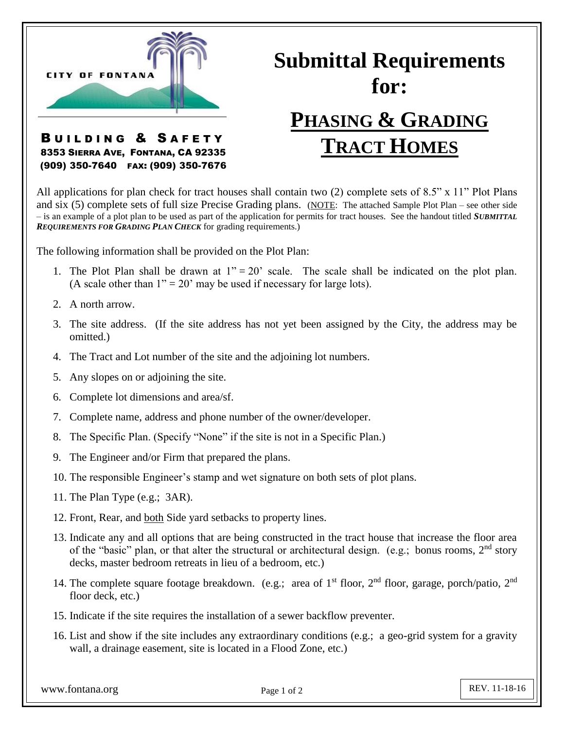

All applications for plan check for tract houses shall contain two (2) complete sets of 8.5" x 11" Plot Plans and six (5) complete sets of full size Precise Grading plans. (NOTE: The attached Sample Plot Plan – see other side – is an example of a plot plan to be used as part of the application for permits for tract houses. See the handout titled *SUBMITTAL REQUIREMENTS FOR GRADING PLAN CHECK* for grading requirements.)

The following information shall be provided on the Plot Plan:

- 1. The Plot Plan shall be drawn at  $1" = 20'$  scale. The scale shall be indicated on the plot plan. (A scale other than  $1" = 20"$  may be used if necessary for large lots).
- 2. A north arrow.
- 3. The site address. (If the site address has not yet been assigned by the City, the address may be omitted.)
- 4. The Tract and Lot number of the site and the adjoining lot numbers.
- 5. Any slopes on or adjoining the site.
- 6. Complete lot dimensions and area/sf.
- 7. Complete name, address and phone number of the owner/developer.
- 8. The Specific Plan. (Specify "None" if the site is not in a Specific Plan.)
- 9. The Engineer and/or Firm that prepared the plans.
- 10. The responsible Engineer's stamp and wet signature on both sets of plot plans.
- 11. The Plan Type (e.g.; 3AR).
- 12. Front, Rear, and both Side yard setbacks to property lines.
- 13. Indicate any and all options that are being constructed in the tract house that increase the floor area of the "basic" plan, or that alter the structural or architectural design. (e.g.; bonus rooms,  $2<sup>nd</sup>$  story decks, master bedroom retreats in lieu of a bedroom, etc.)
- 14. The complete square footage breakdown. (e.g.; area of  $1<sup>st</sup>$  floor,  $2<sup>nd</sup>$  floor, garage, porch/patio,  $2<sup>nd</sup>$ floor deck, etc.)
- 15. Indicate if the site requires the installation of a sewer backflow preventer.
- 16. List and show if the site includes any extraordinary conditions (e.g.; a geo-grid system for a gravity wall, a drainage easement, site is located in a Flood Zone, etc.)